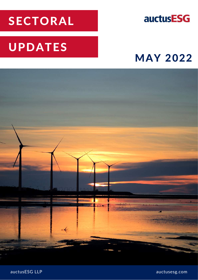# SECTORAL

## **auctusESG**

# UPDATES

## MAY 2022



auctusESG LLP auctusesg.com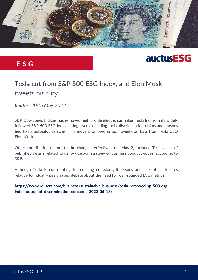

#### E S G

## **auctusESG**

### Tesla cut from S&P 500 ESG Index, and Elon Musk tweets his fury

*Reuters, 19th May 2022*

S&P Dow Jones Indices has removed high profile electric carmaker Tesla Inc from its widely followed S&P 500 ESG Index, citing issues including racial discrimination claims and crashes tied to its autopilot vehicles. This move prompted critical tweets on ESG from Tesla CEO Elon Musk.

Other contributing factors to the changes, effective from May 2, included Tesla's lack of published details related to its low carbon strategy or business conduct codes, according to S&P.

Although Tesla is contributing to reducing emissions, its issues and lack of disclosures relative to industry peers raises debate about the need for well-rounded ESG metrics.

[https://www.reuters.com/business/sustainable-business/tesla-removed-sp-500-esg](https://www.reuters.com/business/sustainable-business/tesla-removed-sp-500-esg-index-autopilot-discrimination-concerns-2022-05-18/)index-autopilot-discrimination-concerns-2022-05-18/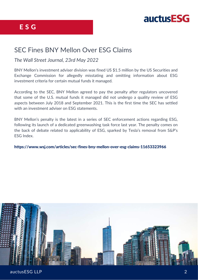

#### SEC Fines BNY Mellon Over ESG Claims

#### *The Wall Street Journal, 23rd May 2022*

BNY Mellon's investment adviser division was fined US \$1.5 million by the US Securities and Exchange Commission for allegedly misstating and omitting information about ESG investment criteria for certain mutual funds it managed.

According to the SEC, BNY Mellon agreed to pay the penalty after regulators uncovered that some of the U.S. mutual funds it managed did not undergo a quality review of ESG aspects between July 2018 and September 2021. This is the first time the SEC has settled with an investment adviser on ESG statements.

BNY Mellon's penalty is the latest in a series of SEC enforcement actions regarding ESG, following its launch of a dedicated greenwashing task force last year. The penalty comes on the back of debate related to applicability of ESG, sparked by Tesla's removal from S&P's ESG Index.

#### <https://www.wsj.com/articles/sec-fines-bny-mellon-over-esg-claims-11653323966>

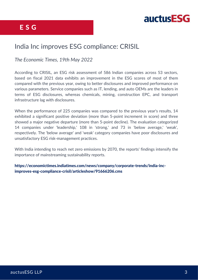



#### India Inc improves ESG compliance: CRISIL

*The Economic Times, 19th May 2022*

According to CRISIL, an ESG risk assessment of 586 Indian companies across 53 sectors, based on fiscal 2021 data exhibits an improvement in the ESG scores of most of them compared with the previous year, owing to better disclosures and improved performance on various parameters. Service companies such as IT, lending, and auto OEMs are the leaders in terms of ESG disclosures, whereas chemicals, mining, construction EPC, and transport infrastructure lag with disclosures.

When the performance of 225 companies was compared to the previous year's results, 14 exhibited a significant positive deviation (more than 5-point increment in score) and three showed a major negative departure (more than 5-point decline). The evaluation categorized 14 companies under 'leadership,' 108 in 'strong,' and 73 in 'below average,' 'weak', respectively. The 'below average' and 'weak' category companies have poor disclosures and unsatisfactory ESG risk-management practices.

With India intending to reach net zero emissions by 2070, the reports' findings intensify the importance of mainstreaming sustainability reports.

[https://economictimes.indiatimes.com/news/company/corporate-trends/india-inc](https://economictimes.indiatimes.com/news/company/corporate-trends/india-inc-improves-esg-compliance-crisil/articleshow/91666206.cms)improves-esg-compliance-crisil/articleshow/91666206.cms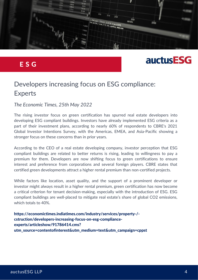

#### E S G

## **auctusESG**

#### Developers increasing focus on ESG compliance: Experts

#### *The Economic Times, 25th May 2022*

The rising investor focus on green certification has spurred real estate developers into developing ESG compliant buildings. Investors have already implemented ESG criteria as a part of their investment plans, according to nearly 60% of respondents to CBRE's 2021 Global Investor Intentions Survey, with the Americas, EMEA, and Asia-Pacific showing a stronger focus on these concerns than in prior years.

According to the CEO of a real estate developing company, investor perception that ESG compliant buildings are related to better returns is rising, leading to willingness to pay a premium for them. Developers are now shifting focus to green certifications to ensure interest and preference from corporations and several foreign players. CBRE states that certified green developments attract a higher rental premium than non-certified projects.

While factors like location, asset quality, and the support of a prominent developer or investor might always result in a higher rental premium, green certification has now become a critical criterion for tenant decision-making, especially with the introduction of ESG. ESG compliant buildings are well-placed to mitigate real estate's share of global CO2 emissions, which totals to 40%.

https://economictimes.indiatimes.com/industry/services/property-/ cstruction/developers-increasing-focus-on-esg-complianceexperts/articleshow/91786414.cms? [utm\\_source=contentofinterest&utm\\_medium=text&utm\\_campaign=cppst](https://economictimes.indiatimes.com/industry/services/property-/-cstruction/developers-increasing-focus-on-esg-compliance-experts/articleshow/91786414.cms?utm_source=contentofinterest&utm_medium=text&utm_campaign=cppst)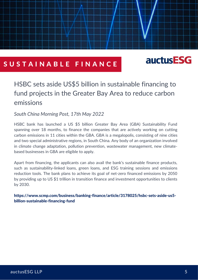#### SUSTAINABLE FINANCE

## **auctusESG**

#### HSBC sets aside US\$5 billion in sustainable financing to fund projects in the Greater Bay Area to reduce carbon emissions

*South China Morning Post, 17th May 2022*

HSBC bank has launched a US \$5 billion Greater Bay Area (GBA) Sustainability Fund spanning over 18 months, to finance the companies that are actively working on cutting carbon emissions in 11 cities within the GBA. GBA is a megalopolis, consisting of nine cities and two special administrative regions, in South China. Any body of an organization involved in climate change adaptation, pollution prevention, wastewater management, new climatebased businesses in GBA are eligible to apply.

Apart from financing, the applicants can also avail the bank's sustainable finance products, such as sustainability-linked loans, green loans, and ESG training sessions and emissions reduction tools. The bank plans to achieve its goal of net-zero financed emissions by 2050 by providing up to US \$1 trillion in transition finance and investment opportunities to clients by 2030.

[https://www.scmp.com/business/banking-finance/article/3178025/hsbc-sets-aside-us5](https://www.scmp.com/business/banking-finance/article/3178025/hsbc-sets-aside-us5-billion-sustainable-financing-fund) billion-sustainable-financing-fund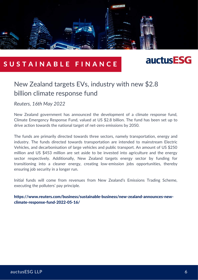

#### SUSTAINABLE FINANCE



#### New Zealand targets EVs, industry with new \$2.8 billion climate response fund

*Reuters, 16th May 2022*

New Zealand government has announced the development of a climate response fund, Climate Emergency Response Fund, valued at US \$2.8 billion. The fund has been set up to drive action towards the national target of net-zero emissions by 2050.

The funds are primarily directed towards three sectors, namely transportation, energy and industry. The funds directed towards transportation are intended to mainstream Electric Vehicles, and decarbonisation of large vehicles and public transport. An amount of US \$250 million and US \$453 million are set aside to be invested into agriculture and the energy sector respectively. Additionally, New Zealand targets energy sector by funding for transitioning into a cleaner energy, creating low-emission jobs opportunities, thereby ensuring job security in a longer run.

Initial funds will come from revenues from New Zealand's Emissions Trading Scheme, executing the polluters' pay principle.

[https://www.reuters.com/business/sustainable-business/new-zealand-announces-new](https://www.reuters.com/business/sustainable-business/new-zealand-announces-new-climate-response-fund-2022-05-16/)climate-response-fund-2022-05-16/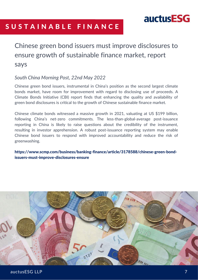### **auctusESG**

### SUSTAINABLE FINANCE

### Chinese green bond issuers must improve disclosures to ensure growth of sustainable finance market, report says

#### *South China Morning Post, 22nd May 2022*

Chinese green bond issuers, instrumental in China's position as the second largest climate bonds market, have room for improvement with regard to disclosing use of proceeds. A Climate Bonds Initiative (CBI) report finds that enhancing the quality and availability of green bond disclosures is critical to the growth of Chinese sustainable finance market.

Chinese climate bonds witnessed a massive growth in 2021, valuating at US \$199 billion, following China's net-zero commitments. The less-than-global-average post-issuance reporting in China is likely to raise questions about the credibility of the instrument, resulting in investor apprehension. A robust post-issuance reporting system may enable Chinese bond issuers to respond with improved accountability and reduce the risk of greenwashing.

[https://www.scmp.com/business/banking-finance/article/3178588/chinese-green-bond](https://www.scmp.com/business/banking-finance/article/3178588/chinese-green-bond-issuers-must-improve-disclosures-ensure)issuers-must-improve-disclosures-ensure

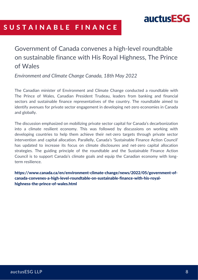

#### SUSTAINABLE FINANCE

Government of Canada convenes a high-level roundtable on sustainable finance with His Royal Highness, The Prince of Wales

*Environment and Climate Change Canada, 18th May 2022*

The Canadian minister of Environment and Climate Change conducted a roundtable with The Prince of Wales, Canadian President Trudeau, leaders from banking and financial sectors and sustainable finance representatives of the country. The roundtable aimed to identify avenues for private sector engagement in developing net-zero economies in Canada and globally.

The discussion emphasized on mobilizing private sector capital for Canada's decarbonization into a climate resilient economy. This was followed by discussions on working with developing countries to help them achieve their net-zero targets through private sector intervention and capital allocation. Parallelly, Canada's 'Sustainable Finance Action Council' has updated to increase its focus on climate disclosures and net-zero capital allocation strategies. The guiding principle of the roundtable and the Sustainable Finance Action Council is to support Canada's climate goals and equip the Canadian economy with longterm resilience.

[https://www.canada.ca/en/environment-climate-change/news/2022/05/government-of](https://www.canada.ca/en/environment-climate-change/news/2022/05/government-of-canada-convenes-a-high-level-roundtable-on-sustainable-finance-with-his-royal-highness-the-prince-of-wales.html)canada-convenes-a-high-level-roundtable-on-sustainable-finance-with-his-royalhighness-the-prince-of-wales.html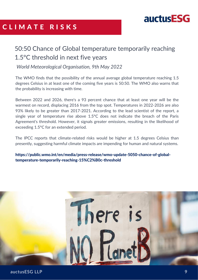

### C L I M A T E R I S K S

#### 50:50 Chance of Global temperature temporarily reaching 1.5°C threshold in next five years

*World Meteorological Organisation, 9th May 2022*

The WMO finds that the possibility of the annual average global temperature reaching 1.5 degrees Celsius in at least one of the coming five years is 50:50. The WMO also warns that the probability is increasing with time.

Between 2022 and 2026, there's a 93 percent chance that at least one year will be the warmest on record, displacing 2016 from the top spot. Temperatures in 2022-2026 are also 93% likely to be greater than 2017-2021. According to the lead scientist of the report, a single year of temperature rise above 1.5°C does not indicate the breach of the Paris Agreement's threshold. However, it signals greater emissions, resulting in the likelihood of exceeding 1.5°C for an extended period.

The IPCC reports that climate-related risks would be higher at 1.5 degrees Celsius than presently, suggesting harmful climate impacts are impending for human and natural systems.

[https://public.wmo.int/en/media/press-release/wmo-update-5050-chance-of-global](https://public.wmo.int/en/media/press-release/wmo-update-5050-chance-of-global-temperature-temporarily-reaching-15%C2%B0c-threshold)temperature-temporarily-reaching-15%C2%B0c-threshold

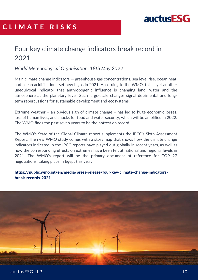

#### C L I M A T E R I S K S

#### Four key climate change indicators break record in 2021

*World Meteorological Organisation, 18th May 2022*

Main climate change indicators — greenhouse gas concentrations, sea level rise, ocean heat, and ocean acidification –set new highs in 2021. According to the WMO, this is yet another unequivocal indicator that anthropogenic influence is changing land, water and the atmosphere at the planetary level. Such large-scale changes signal detrimental and longterm repercussions for sustainable development and ecosystems.

Extreme weather – an obvious sign of climate change – has led to huge economic losses, loss of human lives, and shocks for food and water security, which will be amplified in 2022. The WMO finds the past seven years to be the hottest on record.

The WMO's State of the Global Climate report supplements the IPCC's Sixth Assessment Report. The new WMO study comes with a story map that shows how the climate change indicators indicated in the IPCC reports have played out globally in recent years, as well as how the corresponding effects on extremes have been felt at national and regional levels in 2021. The WMO's report will be the primary document of reference for COP 27 negotiations, taking place in Egypt this year.

[https://public.wmo.int/en/media/press-release/four-key-climate-change-indicators](https://public.wmo.int/en/media/press-release/four-key-climate-change-indicators-break-records-2021)break-records-2021

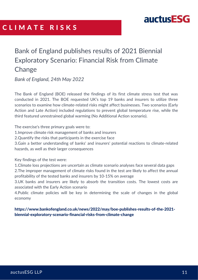#### C L I M A T E R I S K S



### Bank of England publishes results of 2021 Biennial Exploratory Scenario: Financial Risk from Climate **Change**

*Bank of England, 24th May 2022*

The Bank of England (BOE) released the findings of its first climate stress test that was conducted in 2021. The BOE requested UK's top 19 banks and insurers to utilize three scenarios to examine how climate-related risks might affect businesses. Two scenarios (Early Action and Late Action) included regulations to prevent global temperature rise, while the third featured unrestrained global warming (No Additional Action scenario).

The exercise's three primary goals were to:

1.Improve climate risk management of banks and insurers

2.Quantify the risks that participants in the exercise face

3.Gain a better understanding of banks' and insurers' potential reactions to climate-related hazards, as well as their larger consequences

Key findings of the test were:

1.Climate loss projections are uncertain as climate scenario analyses face several data gaps 2.The improper management of climate risks found in the test are likely to affect the annual profitability of the tested banks and insurers by 10-15% on average

3.UK banks and insurers are likely to absorb the transition costs. The lowest costs are associated with the Early Action scenario

4.Public climate policies will be key in determining the scale of changes in the global economy

[https://www.bankofengland.co.uk/news/2022/may/boe-publishes-results-of-the-2021](https://www.bankofengland.co.uk/news/2022/may/boe-publishes-results-of-the-2021-biennial-exploratory-scenario-financial-risks-from-climate-change) biennial-exploratory-scenario-financial-risks-from-climate-change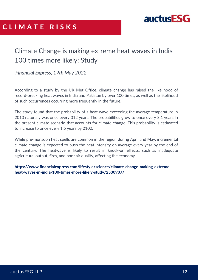



#### Climate Change is making extreme heat waves in India 100 times more likely: Study

*Financial Express, 19th May 2022*

According to a study by the UK Met Office, climate change has raised the likelihood of record-breaking heat waves in India and Pakistan by over 100 times, as well as the likelihood of such occurrences occurring more frequently in the future.

The study found that the probability of a heat wave exceeding the average temperature in 2010 naturally was once every 312 years. The probabilities grow to once every 3.1 years in the present climate scenario that accounts for climate change. This probability is estimated to increase to once every 1.5 years by 2100.

While pre-monsoon heat spells are common in the region during April and May, incremental climate change is expected to push the heat intensity on average every year by the end of the century. The heatwave is likely to result in knock-on effects, such as inadequate agricultural output, fires, and poor air quality, affecting the economy.

[https://www.financialexpress.com/lifestyle/science/climate-change-making-extreme](https://www.financialexpress.com/lifestyle/science/climate-change-making-extreme-heat-waves-in-india-100-times-more-likely-study/2530907/)heat-waves-in-india-100-times-more-likely-study/2530907/